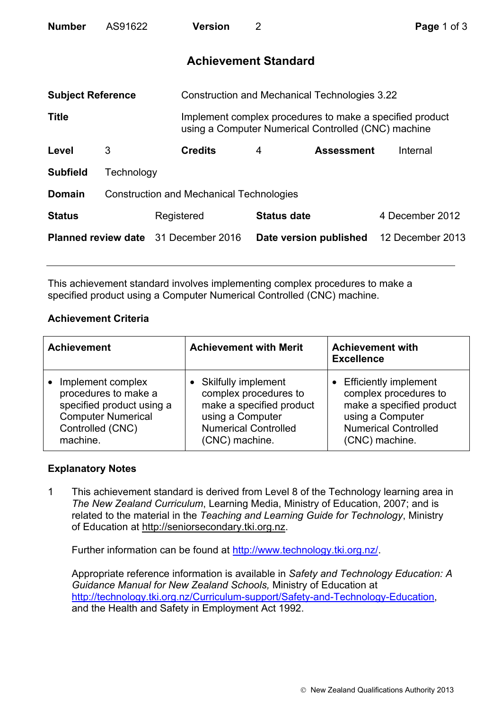| <b>Number</b>                               | AS91622                                         |            | <b>Version</b>                                       | 2 |                                                                                                                 | Page 1 of 3      |  |
|---------------------------------------------|-------------------------------------------------|------------|------------------------------------------------------|---|-----------------------------------------------------------------------------------------------------------------|------------------|--|
|                                             |                                                 |            | <b>Achievement Standard</b>                          |   |                                                                                                                 |                  |  |
| <b>Subject Reference</b>                    |                                                 |            | <b>Construction and Mechanical Technologies 3.22</b> |   |                                                                                                                 |                  |  |
| <b>Title</b>                                |                                                 |            |                                                      |   | Implement complex procedures to make a specified product<br>using a Computer Numerical Controlled (CNC) machine |                  |  |
| Level                                       | 3                                               |            | <b>Credits</b>                                       | 4 | <b>Assessment</b>                                                                                               | Internal         |  |
| <b>Subfield</b>                             | Technology                                      |            |                                                      |   |                                                                                                                 |                  |  |
| <b>Domain</b>                               | <b>Construction and Mechanical Technologies</b> |            |                                                      |   |                                                                                                                 |                  |  |
| <b>Status</b>                               |                                                 | Registered |                                                      |   | <b>Status date</b>                                                                                              | 4 December 2012  |  |
| <b>Planned review date</b> 31 December 2016 |                                                 |            |                                                      |   | Date version published                                                                                          | 12 December 2013 |  |

This achievement standard involves implementing complex procedures to make a specified product using a Computer Numerical Controlled (CNC) machine.

## **Achievement Criteria**

| <b>Achievement</b>        | <b>Achievement with Merit</b> | <b>Achievement with</b><br><b>Excellence</b> |
|---------------------------|-------------------------------|----------------------------------------------|
| Implement complex         | • Skilfully implement         | <b>Efficiently implement</b>                 |
| procedures to make a      | complex procedures to         | complex procedures to                        |
| specified product using a | make a specified product      | make a specified product                     |
| <b>Computer Numerical</b> | using a Computer              | using a Computer                             |
| Controlled (CNC)          | <b>Numerical Controlled</b>   | <b>Numerical Controlled</b>                  |
| machine.                  | (CNC) machine.                | (CNC) machine.                               |

## **Explanatory Notes**

1 This achievement standard is derived from Level 8 of the Technology learning area in *The New Zealand Curriculum*, Learning Media, Ministry of Education, 2007; and is related to the material in the *Teaching and Learning Guide for Technology*, Ministry of Education at http://seniorsecondary.tki.org.nz.

Further information can be found at http://www.technology.tki.org.nz/.

Appropriate reference information is available in *Safety and Technology Education: A Guidance Manual for New Zealand Schools,* Ministry of Education at http://technology.tki.org.nz/Curriculum-support/Safety-and-Technology-Education, and the Health and Safety in Employment Act 1992.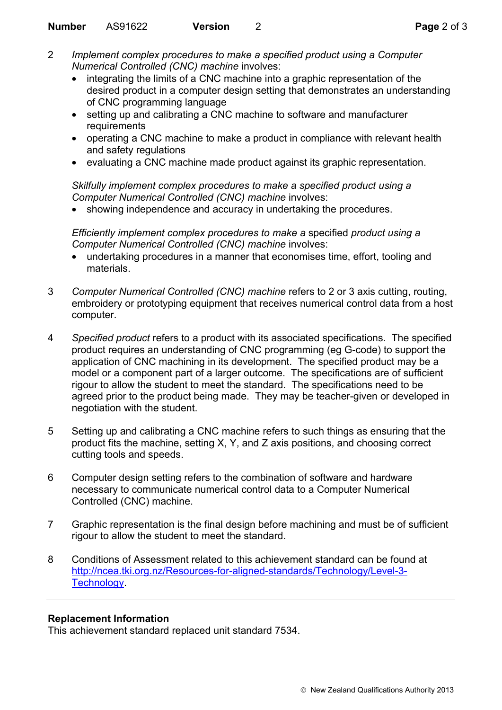- 2 *Implement complex procedures to make a specified product using a Computer Numerical Controlled (CNC) machine* involves:
	- integrating the limits of a CNC machine into a graphic representation of the desired product in a computer design setting that demonstrates an understanding of CNC programming language
	- setting up and calibrating a CNC machine to software and manufacturer requirements
	- operating a CNC machine to make a product in compliance with relevant health and safety regulations
	- evaluating a CNC machine made product against its graphic representation.

*Skilfully implement complex procedures to make a specified product using a Computer Numerical Controlled (CNC) machine* involves:

• showing independence and accuracy in undertaking the procedures.

*Efficiently implement complex procedures to make a* specified *product using a Computer Numerical Controlled (CNC) machine* involves:

- undertaking procedures in a manner that economises time, effort, tooling and materials.
- 3 *Computer Numerical Controlled (CNC) machine* refers to 2 or 3 axis cutting, routing, embroidery or prototyping equipment that receives numerical control data from a host computer.
- 4 *Specified product* refers to a product with its associated specifications. The specified product requires an understanding of CNC programming (eg G-code) to support the application of CNC machining in its development. The specified product may be a model or a component part of a larger outcome. The specifications are of sufficient rigour to allow the student to meet the standard. The specifications need to be agreed prior to the product being made. They may be teacher-given or developed in negotiation with the student.
- 5 Setting up and calibrating a CNC machine refers to such things as ensuring that the product fits the machine, setting X, Y, and Z axis positions, and choosing correct cutting tools and speeds.
- 6 Computer design setting refers to the combination of software and hardware necessary to communicate numerical control data to a Computer Numerical Controlled (CNC) machine.
- 7 Graphic representation is the final design before machining and must be of sufficient rigour to allow the student to meet the standard.
- 8 Conditions of Assessment related to this achievement standard can be found at http://ncea.tki.org.nz/Resources-for-aligned-standards/Technology/Level-3- Technology.

## **Replacement Information**

This achievement standard replaced unit standard 7534.